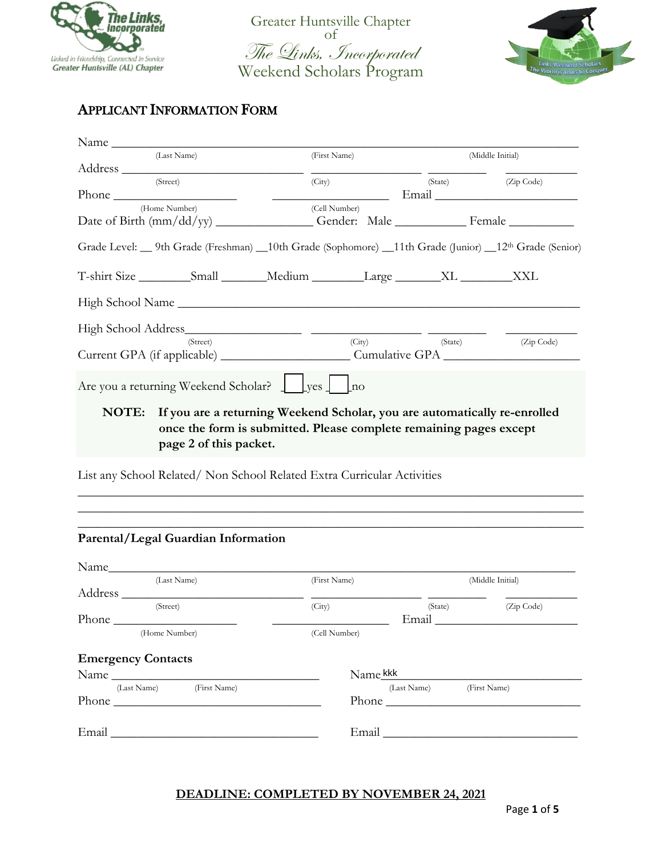

Greater Huntsville Chapter The Links, Incorporated Weekend Scholars Program



## APPLICANT INFORMATION FORM

| Name<br>(Last Name)<br>(First Name)<br>(Middle Initial)<br>(Street)<br>(City)<br>(State)<br>(Zip Code)<br>(Home Number)<br>(Cell Number)<br>Grade Level: __ 9th Grade (Freshman) __10th Grade (Sophomore) __11th Grade (Junior) __12 <sup>th</sup> Grade (Senior)<br>(State) (Zip Code)<br>(City)<br>(Street) |  |
|---------------------------------------------------------------------------------------------------------------------------------------------------------------------------------------------------------------------------------------------------------------------------------------------------------------|--|
|                                                                                                                                                                                                                                                                                                               |  |
|                                                                                                                                                                                                                                                                                                               |  |
| T-shirt Size __________Small ________Medium _________Large ________XL _________XXL                                                                                                                                                                                                                            |  |
|                                                                                                                                                                                                                                                                                                               |  |
|                                                                                                                                                                                                                                                                                                               |  |
| High School Name                                                                                                                                                                                                                                                                                              |  |
|                                                                                                                                                                                                                                                                                                               |  |
| Are you a returning Weekend Scholar? J Lyes J Lno                                                                                                                                                                                                                                                             |  |
|                                                                                                                                                                                                                                                                                                               |  |
|                                                                                                                                                                                                                                                                                                               |  |
| NOTE: If you are a returning Weekend Scholar, you are automatically re-enrolled<br>once the form is submitted. Please complete remaining pages except<br>page 2 of this packet.                                                                                                                               |  |
|                                                                                                                                                                                                                                                                                                               |  |

List any School Related/ Non School Related Extra Curricular Activities

| Parental/Legal Guardian Information |               |                                                                                                                                                                                                                               |                  |
|-------------------------------------|---------------|-------------------------------------------------------------------------------------------------------------------------------------------------------------------------------------------------------------------------------|------------------|
| Name                                |               |                                                                                                                                                                                                                               |                  |
| (Last Name)                         | (First Name)  |                                                                                                                                                                                                                               | (Middle Initial) |
|                                     |               |                                                                                                                                                                                                                               |                  |
| (Street)                            | (City)        | (State)                                                                                                                                                                                                                       | (Zip Code)       |
|                                     |               | Email                                                                                                                                                                                                                         |                  |
| (Home Number)                       | (Cell Number) |                                                                                                                                                                                                                               |                  |
| <b>Emergency Contacts</b>           |               |                                                                                                                                                                                                                               |                  |
| Name                                | Name kkk      |                                                                                                                                                                                                                               |                  |
| (Last Name)<br>(First Name)         |               | (Last Name)                                                                                                                                                                                                                   | (First Name)     |
|                                     |               | Phone and the phone of the state of the state of the state of the state of the state of the state of the state of the state of the state of the state of the state of the state of the state of the state of the state of the |                  |
|                                     |               |                                                                                                                                                                                                                               |                  |

\_\_\_\_\_\_\_\_\_\_\_\_\_\_\_\_\_\_\_\_\_\_\_\_\_\_\_\_\_\_\_\_\_\_\_\_\_\_\_\_\_\_\_\_\_\_\_\_\_\_\_\_\_\_\_\_\_\_\_\_\_\_\_\_\_\_\_\_\_\_\_\_\_\_\_\_\_\_ \_\_\_\_\_\_\_\_\_\_\_\_\_\_\_\_\_\_\_\_\_\_\_\_\_\_\_\_\_\_\_\_\_\_\_\_\_\_\_\_\_\_\_\_\_\_\_\_\_\_\_\_\_\_\_\_\_\_\_\_\_\_\_\_\_\_\_\_\_\_\_\_\_\_\_\_\_\_ \_\_\_\_\_\_\_\_\_\_\_\_\_\_\_\_\_\_\_\_\_\_\_\_\_\_\_\_\_\_\_\_\_\_\_\_\_\_\_\_\_\_\_\_\_\_\_\_\_\_\_\_\_\_\_\_\_\_\_\_\_\_\_\_\_\_\_\_\_\_\_\_\_\_\_\_\_\_

#### **DEADLINE: COMPLETED BY NOVEMBER 24, 2021**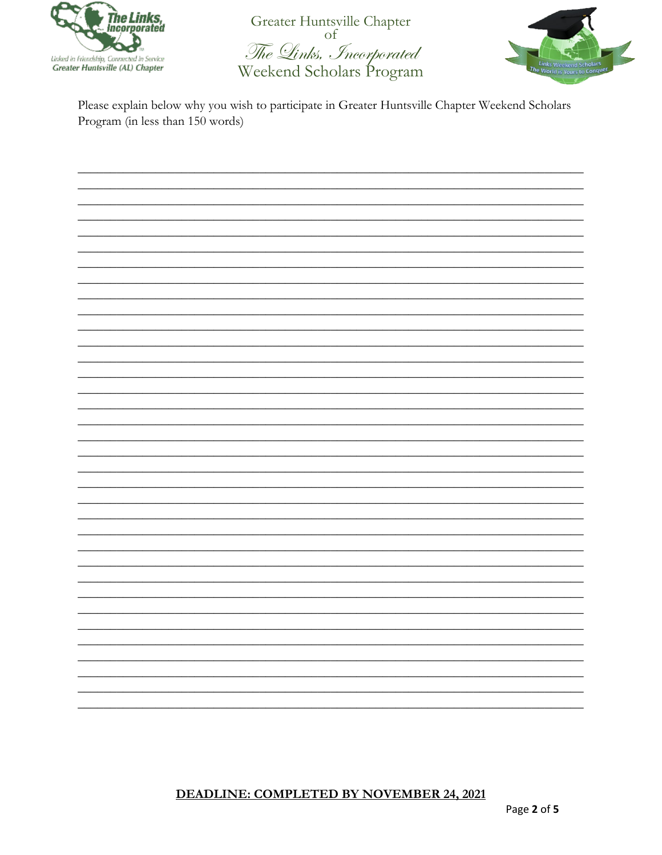

Greater Huntsville Chapter of The Links, Incorporated Weekend Scholars Program



Please explain below why you wish to participate in Greater Huntsville Chapter Weekend Scholars Program (in less than 150 words)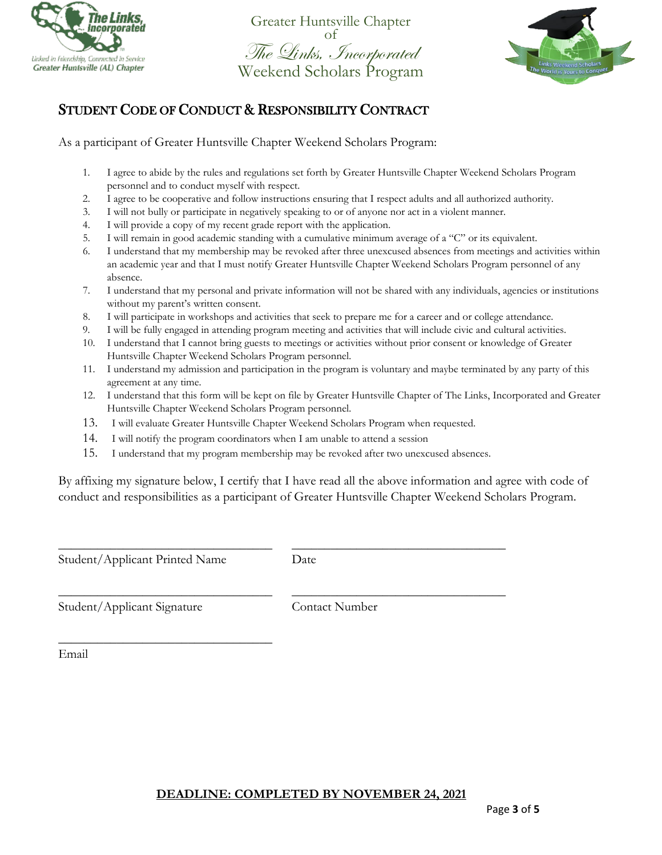

Greater Huntsville Chapter The Links, Incorporated<br>Weekend Scholars Program



## STUDENT CODE OF CONDUCT & RESPONSIBILITY CONTRACT

As a participant of Greater Huntsville Chapter Weekend Scholars Program:

- 1. I agree to abide by the rules and regulations set forth by Greater Huntsville Chapter Weekend Scholars Program personnel and to conduct myself with respect.
- 2. I agree to be cooperative and follow instructions ensuring that I respect adults and all authorized authority.
- 3. I will not bully or participate in negatively speaking to or of anyone nor act in a violent manner.
- 4. I will provide a copy of my recent grade report with the application.
- 5. I will remain in good academic standing with a cumulative minimum average of a "C" or its equivalent.
- 6. I understand that my membership may be revoked after three unexcused absences from meetings and activities within an academic year and that I must notify Greater Huntsville Chapter Weekend Scholars Program personnel of any absence.
- 7. I understand that my personal and private information will not be shared with any individuals, agencies or institutions without my parent's written consent.
- 8. I will participate in workshops and activities that seek to prepare me for a career and or college attendance.
- 9. I will be fully engaged in attending program meeting and activities that will include civic and cultural activities.
- 10. I understand that I cannot bring guests to meetings or activities without prior consent or knowledge of Greater Huntsville Chapter Weekend Scholars Program personnel.
- 11. I understand my admission and participation in the program is voluntary and maybe terminated by any party of this agreement at any time.
- 12. I understand that this form will be kept on file by Greater Huntsville Chapter of The Links, Incorporated and Greater Huntsville Chapter Weekend Scholars Program personnel.
- 13. I will evaluate Greater Huntsville Chapter Weekend Scholars Program when requested.
- 14. I will notify the program coordinators when I am unable to attend a session
- 15. I understand that my program membership may be revoked after two unexcused absences.

By affixing my signature below, I certify that I have read all the above information and agree with code of conduct and responsibilities as a participant of Greater Huntsville Chapter Weekend Scholars Program.

Student/Applicant Printed Name Date

\_\_\_\_\_\_\_\_\_\_\_\_\_\_\_\_\_\_\_\_\_\_\_\_\_\_\_\_\_\_\_\_\_

\_\_\_\_\_\_\_\_\_\_\_\_\_\_\_\_\_\_\_\_\_\_\_\_\_\_\_\_\_\_\_\_\_ \_\_\_\_\_\_\_\_\_\_\_\_\_\_\_\_\_\_\_\_\_\_\_\_\_\_\_\_\_\_\_\_\_

\_\_\_\_\_\_\_\_\_\_\_\_\_\_\_\_\_\_\_\_\_\_\_\_\_\_\_\_\_\_\_\_\_ \_\_\_\_\_\_\_\_\_\_\_\_\_\_\_\_\_\_\_\_\_\_\_\_\_\_\_\_\_\_\_\_\_

Student/Applicant Signature Contact Number

Email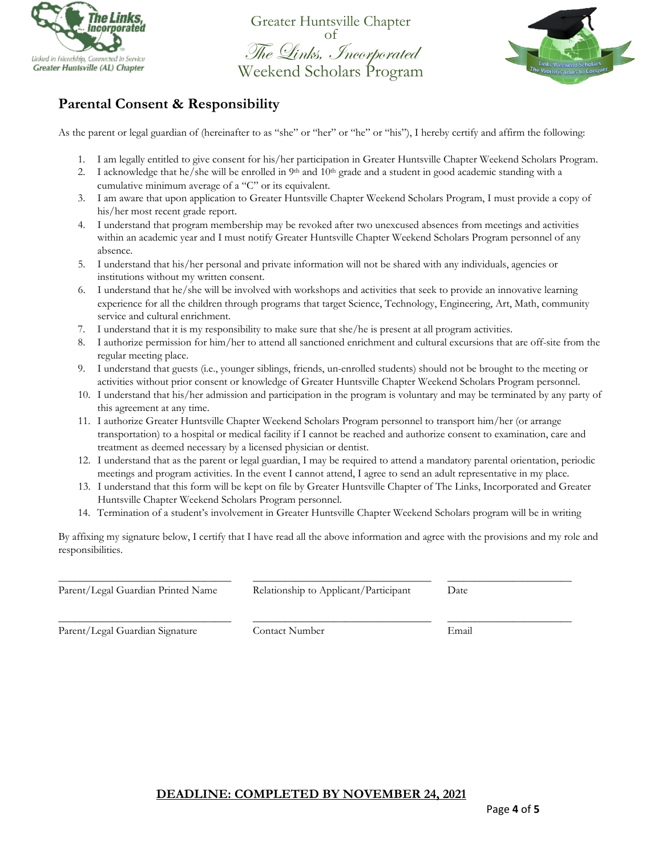

Greater Huntsville Chapter The Links, Incorporated<br>Weekend Scholars Program



## **Parental Consent & Responsibility**

As the parent or legal guardian of (hereinafter to as "she" or "her" or "he" or "his"), I hereby certify and affirm the following:

- 1. I am legally entitled to give consent for his/her participation in Greater Huntsville Chapter Weekend Scholars Program.
- 2. I acknowledge that he/she will be enrolled in  $9<sup>th</sup>$  and  $10<sup>th</sup>$  grade and a student in good academic standing with a cumulative minimum average of a "C" or its equivalent.
- 3. I am aware that upon application to Greater Huntsville Chapter Weekend Scholars Program, I must provide a copy of his/her most recent grade report.
- 4. I understand that program membership may be revoked after two unexcused absences from meetings and activities within an academic year and I must notify Greater Huntsville Chapter Weekend Scholars Program personnel of any absence.
- 5. I understand that his/her personal and private information will not be shared with any individuals, agencies or institutions without my written consent.
- 6. I understand that he/she will be involved with workshops and activities that seek to provide an innovative learning experience for all the children through programs that target Science, Technology, Engineering, Art, Math, community service and cultural enrichment.
- 7. I understand that it is my responsibility to make sure that she/he is present at all program activities.
- 8. I authorize permission for him/her to attend all sanctioned enrichment and cultural excursions that are off-site from the regular meeting place.
- 9. I understand that guests (i.e., younger siblings, friends, un-enrolled students) should not be brought to the meeting or activities without prior consent or knowledge of Greater Huntsville Chapter Weekend Scholars Program personnel.
- 10. I understand that his/her admission and participation in the program is voluntary and may be terminated by any party of this agreement at any time.
- 11. I authorize Greater Huntsville Chapter Weekend Scholars Program personnel to transport him/her (or arrange transportation) to a hospital or medical facility if I cannot be reached and authorize consent to examination, care and treatment as deemed necessary by a licensed physician or dentist.
- 12. I understand that as the parent or legal guardian, I may be required to attend a mandatory parental orientation, periodic meetings and program activities. In the event I cannot attend, I agree to send an adult representative in my place.
- 13. I understand that this form will be kept on file by Greater Huntsville Chapter of The Links, Incorporated and Greater Huntsville Chapter Weekend Scholars Program personnel.
- 14. Termination of a student's involvement in Greater Huntsville Chapter Weekend Scholars program will be in writing

By affixing my signature below, I certify that I have read all the above information and agree with the provisions and my role and responsibilities.

| Parent/Legal Guardian Printed Name | Relationship to Applicant/Participant | Date  |
|------------------------------------|---------------------------------------|-------|
| Parent/Legal Guardian Signature    | Contact Number                        | Email |

#### **DEADLINE: COMPLETED BY NOVEMBER 24, 2021**